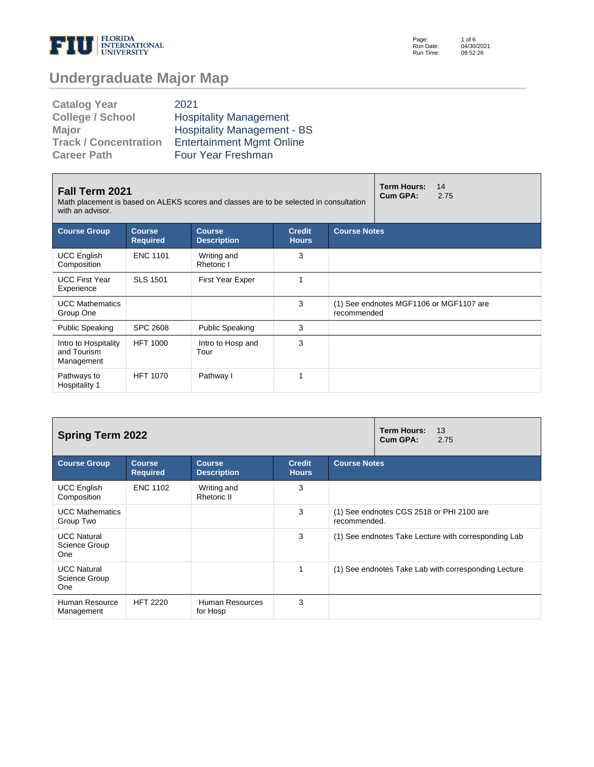

Page: Run Date: Run Time: 1 of 6 04/30/2021 09:52:26

# **Undergraduate Major Map**

| <b>Catalog Year</b>          | 2021                               |
|------------------------------|------------------------------------|
| <b>College / School</b>      | <b>Hospitality Management</b>      |
| Major                        | <b>Hospitality Management - BS</b> |
| <b>Track / Concentration</b> | <b>Entertainment Mgmt Online</b>   |
| <b>Career Path</b>           | <b>Four Year Freshman</b>          |

| Fall Term 2021<br>Math placement is based on ALEKS scores and classes are to be selected in consultation<br>with an advisor. |                                  | <b>Term Hours:</b><br>14<br>Cum GPA:<br>2.75 |                               |                     |                                         |  |  |
|------------------------------------------------------------------------------------------------------------------------------|----------------------------------|----------------------------------------------|-------------------------------|---------------------|-----------------------------------------|--|--|
| <b>Course Group</b>                                                                                                          | <b>Course</b><br><b>Required</b> | <b>Course</b><br><b>Description</b>          | <b>Credit</b><br><b>Hours</b> | <b>Course Notes</b> |                                         |  |  |
| <b>UCC English</b><br>Composition                                                                                            | <b>ENC 1101</b>                  | Writing and<br>Rhetoric I                    | 3                             |                     |                                         |  |  |
| <b>UCC First Year</b><br>Experience                                                                                          | <b>SLS 1501</b>                  | <b>First Year Exper</b>                      | 1                             |                     |                                         |  |  |
| <b>UCC Mathematics</b><br>Group One                                                                                          |                                  |                                              | 3                             | recommended         | (1) See endnotes MGF1106 or MGF1107 are |  |  |
| <b>Public Speaking</b>                                                                                                       | <b>SPC 2608</b>                  | <b>Public Speaking</b>                       | 3                             |                     |                                         |  |  |
| Intro to Hospitality<br>and Tourism<br>Management                                                                            | <b>HFT 1000</b>                  | Intro to Hosp and<br>Tour                    | 3                             |                     |                                         |  |  |
| Pathways to<br>Hospitality 1                                                                                                 | <b>HFT 1070</b>                  | Pathway I                                    | 1                             |                     |                                         |  |  |

| <b>Spring Term 2022</b>                    |                                  | <b>Term Hours:</b><br>13<br>Cum GPA:<br>2.75 |                               |                                                           |  |  |  |
|--------------------------------------------|----------------------------------|----------------------------------------------|-------------------------------|-----------------------------------------------------------|--|--|--|
| <b>Course Group</b>                        | <b>Course</b><br><b>Required</b> | <b>Course</b><br><b>Description</b>          | <b>Credit</b><br><b>Hours</b> | <b>Course Notes</b>                                       |  |  |  |
| <b>UCC English</b><br>Composition          | <b>ENC 1102</b>                  | Writing and<br>Rhetoric II                   | 3                             |                                                           |  |  |  |
| <b>UCC Mathematics</b><br>Group Two        |                                  |                                              | 3                             | (1) See endnotes CGS 2518 or PHI 2100 are<br>recommended. |  |  |  |
| <b>UCC Natural</b><br>Science Group<br>One |                                  |                                              | 3                             | (1) See endnotes Take Lecture with corresponding Lab      |  |  |  |
| <b>UCC Natural</b><br>Science Group<br>One |                                  |                                              | 1                             | (1) See endnotes Take Lab with corresponding Lecture      |  |  |  |
| Human Resource<br>Management               | <b>HFT 2220</b>                  | Human Resources<br>for Hosp                  | 3                             |                                                           |  |  |  |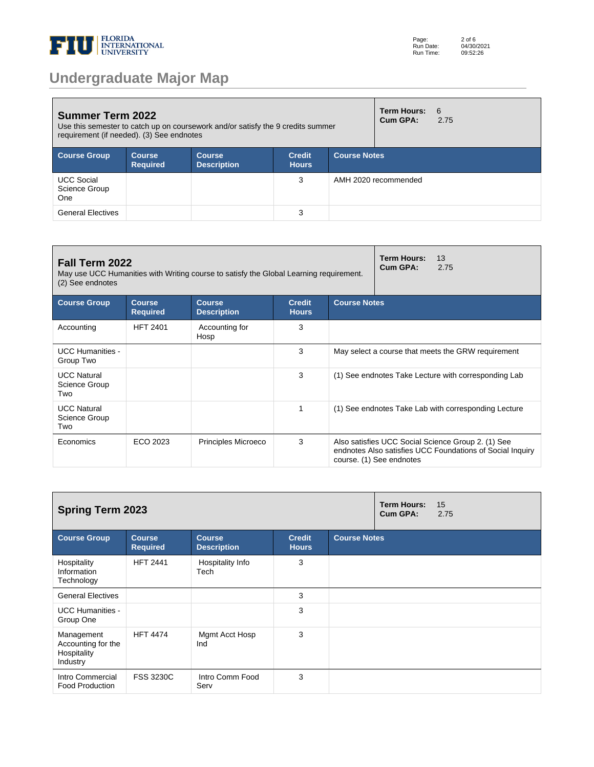

| <b>Summer Term 2022</b><br>Use this semester to catch up on coursework and/or satisfy the 9 credits summer<br>requirement (if needed). (3) See endnotes |                           |                              |                               |                     |                      | 6<br>2.75 |  |
|---------------------------------------------------------------------------------------------------------------------------------------------------------|---------------------------|------------------------------|-------------------------------|---------------------|----------------------|-----------|--|
| <b>Course Group</b>                                                                                                                                     | Course<br><b>Required</b> | Course<br><b>Description</b> | <b>Credit</b><br><b>Hours</b> | <b>Course Notes</b> |                      |           |  |
| <b>UCC Social</b><br>Science Group<br>One                                                                                                               |                           |                              | 3                             |                     | AMH 2020 recommended |           |  |
| <b>General Electives</b>                                                                                                                                |                           |                              | 3                             |                     |                      |           |  |

| Fall Term 2022<br>May use UCC Humanities with Writing course to satisfy the Global Learning requirement.<br>(2) See endnotes |                                  | <b>Term Hours:</b><br>13<br>Cum GPA:<br>2.75 |                               |                                                    |                                                                                                                                             |  |  |
|------------------------------------------------------------------------------------------------------------------------------|----------------------------------|----------------------------------------------|-------------------------------|----------------------------------------------------|---------------------------------------------------------------------------------------------------------------------------------------------|--|--|
| <b>Course Group</b>                                                                                                          | <b>Course</b><br><b>Required</b> | <b>Course</b><br><b>Description</b>          | <b>Credit</b><br><b>Hours</b> | <b>Course Notes</b>                                |                                                                                                                                             |  |  |
| Accounting                                                                                                                   | <b>HFT 2401</b>                  | Accounting for<br>Hosp                       | 3                             |                                                    |                                                                                                                                             |  |  |
| <b>UCC Humanities -</b><br>Group Two                                                                                         |                                  |                                              | 3                             | May select a course that meets the GRW requirement |                                                                                                                                             |  |  |
| <b>UCC Natural</b><br>Science Group<br>Two                                                                                   |                                  |                                              | 3                             |                                                    | (1) See endnotes Take Lecture with corresponding Lab                                                                                        |  |  |
| <b>UCC Natural</b><br>Science Group<br>Two                                                                                   |                                  |                                              | 1                             |                                                    | (1) See endnotes Take Lab with corresponding Lecture                                                                                        |  |  |
| Economics                                                                                                                    | ECO 2023                         | Principles Microeco                          | 3                             |                                                    | Also satisfies UCC Social Science Group 2. (1) See<br>endnotes Also satisfies UCC Foundations of Social Inquiry<br>course. (1) See endnotes |  |  |

| <b>Spring Term 2023</b>                                     |                                  |                                     |                               |                     |  | 15<br>2.75 |
|-------------------------------------------------------------|----------------------------------|-------------------------------------|-------------------------------|---------------------|--|------------|
| <b>Course Group</b>                                         | <b>Course</b><br><b>Required</b> | <b>Course</b><br><b>Description</b> | <b>Credit</b><br><b>Hours</b> | <b>Course Notes</b> |  |            |
| Hospitality<br>Information<br>Technology                    | <b>HFT 2441</b>                  | Hospitality Info<br>Tech            | 3                             |                     |  |            |
| <b>General Electives</b>                                    |                                  |                                     | 3                             |                     |  |            |
| <b>UCC Humanities -</b><br>Group One                        |                                  |                                     | 3                             |                     |  |            |
| Management<br>Accounting for the<br>Hospitality<br>Industry | <b>HFT 4474</b>                  | Mgmt Acct Hosp<br>Ind               | 3                             |                     |  |            |
| Intro Commercial<br><b>Food Production</b>                  | <b>FSS 3230C</b>                 | Intro Comm Food<br>Serv             | 3                             |                     |  |            |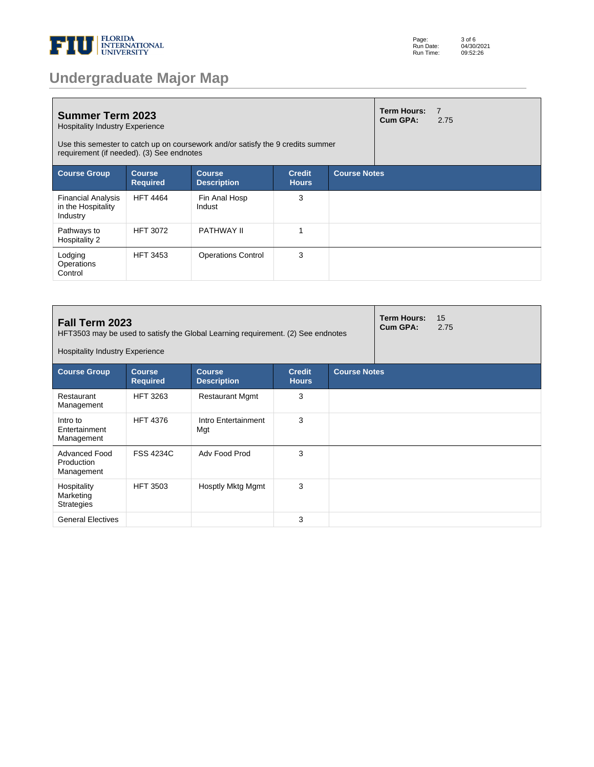

|  |  | <b>Undergraduate Major Map</b> |  |
|--|--|--------------------------------|--|
|  |  |                                |  |

| <b>Summer Term 2023</b><br><b>Hospitality Industry Experience</b><br>Use this semester to catch up on coursework and/or satisfy the 9 credits summer<br>requirement (if needed). (3) See endnotes |                                  |                                     |                               |                     | <b>Term Hours:</b><br>Cum GPA: | $\overline{7}$<br>2.75 |
|---------------------------------------------------------------------------------------------------------------------------------------------------------------------------------------------------|----------------------------------|-------------------------------------|-------------------------------|---------------------|--------------------------------|------------------------|
| <b>Course Group</b>                                                                                                                                                                               | <b>Course</b><br><b>Required</b> | <b>Course</b><br><b>Description</b> | <b>Credit</b><br><b>Hours</b> | <b>Course Notes</b> |                                |                        |
| <b>Financial Analysis</b><br>in the Hospitality<br>Industry                                                                                                                                       | <b>HFT 4464</b>                  | Fin Anal Hosp<br>Indust             | 3                             |                     |                                |                        |
| Pathways to<br>Hospitality 2                                                                                                                                                                      | <b>HFT 3072</b>                  | PATHWAY II                          |                               |                     |                                |                        |
| Lodging<br>Operations<br>Control                                                                                                                                                                  | <b>HFT 3453</b>                  | <b>Operations Control</b>           | 3                             |                     |                                |                        |

| Fall Term 2023<br>HFT3503 may be used to satisfy the Global Learning requirement. (2) See endnotes<br><b>Hospitality Industry Experience</b> |                                                                                                                                 |                            |   |  |  | 15<br>2.75 |
|----------------------------------------------------------------------------------------------------------------------------------------------|---------------------------------------------------------------------------------------------------------------------------------|----------------------------|---|--|--|------------|
| <b>Course Group</b>                                                                                                                          | <b>Course Notes</b><br><b>Course</b><br><b>Credit</b><br><b>Course</b><br><b>Required</b><br><b>Description</b><br><b>Hours</b> |                            |   |  |  |            |
| Restaurant<br>Management                                                                                                                     | <b>HFT 3263</b>                                                                                                                 | <b>Restaurant Mgmt</b>     | 3 |  |  |            |
| Intro to<br>Entertainment<br>Management                                                                                                      | <b>HFT 4376</b>                                                                                                                 | Intro Entertainment<br>Mgt | 3 |  |  |            |
| Advanced Food<br>Production<br>Management                                                                                                    | <b>FSS 4234C</b>                                                                                                                | Adv Food Prod              | 3 |  |  |            |
| Hospitality<br>Marketing<br><b>Strategies</b>                                                                                                | <b>HFT 3503</b>                                                                                                                 | Hosptly Mktg Mgmt          | 3 |  |  |            |
| <b>General Electives</b>                                                                                                                     |                                                                                                                                 |                            | 3 |  |  |            |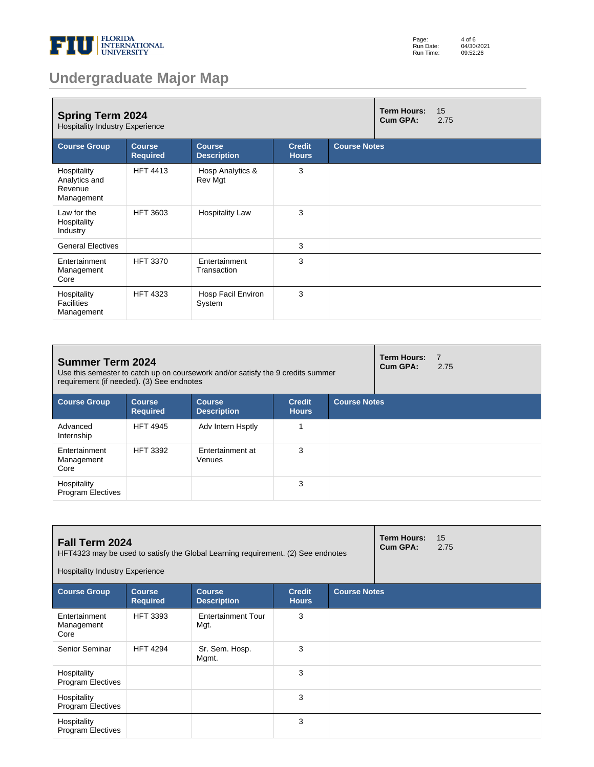

| Page:     | 4 of 6     |
|-----------|------------|
| Run Date: | 04/30/2021 |
| Run Time: | 09:52:26   |

# **Undergraduate Major Map**

| <b>Spring Term 2024</b><br><b>Hospitality Industry Experience</b> |                                  |                                     |                               |                     |  | 15<br>2.75 |
|-------------------------------------------------------------------|----------------------------------|-------------------------------------|-------------------------------|---------------------|--|------------|
| <b>Course Group</b>                                               | <b>Course</b><br><b>Required</b> | <b>Course</b><br><b>Description</b> | <b>Credit</b><br><b>Hours</b> | <b>Course Notes</b> |  |            |
| Hospitality<br>Analytics and<br>Revenue<br>Management             | <b>HFT 4413</b>                  | Hosp Analytics &<br>Rev Mgt         | 3                             |                     |  |            |
| Law for the<br>Hospitality<br>Industry                            | <b>HFT 3603</b>                  | <b>Hospitality Law</b>              | 3                             |                     |  |            |
| <b>General Electives</b>                                          |                                  |                                     | 3                             |                     |  |            |
| Entertainment<br>Management<br>Core                               | <b>HFT 3370</b>                  | Entertainment<br>Transaction        | 3                             |                     |  |            |
| Hospitality<br><b>Facilities</b><br>Management                    | <b>HFT 4323</b>                  | Hosp Facil Environ<br>System        | 3                             |                     |  |            |

| <b>Summer Term 2024</b><br>Use this semester to catch up on coursework and/or satisfy the 9 credits summer<br>requirement (if needed). (3) See endnotes |                                  |                                     |                               |                     | Term Hours:<br>Cum GPA: | $-7$<br>2.75 |
|---------------------------------------------------------------------------------------------------------------------------------------------------------|----------------------------------|-------------------------------------|-------------------------------|---------------------|-------------------------|--------------|
| <b>Course Group</b>                                                                                                                                     | <b>Course</b><br><b>Required</b> | <b>Course</b><br><b>Description</b> | <b>Credit</b><br><b>Hours</b> | <b>Course Notes</b> |                         |              |
| Advanced<br>Internship                                                                                                                                  | <b>HFT 4945</b>                  | Adv Intern Hsptly                   |                               |                     |                         |              |
| Entertainment<br>Management<br>Core                                                                                                                     | <b>HFT 3392</b>                  | Entertainment at<br>Venues          | 3                             |                     |                         |              |
| Hospitality<br><b>Program Electives</b>                                                                                                                 |                                  |                                     | 3                             |                     |                         |              |

| Fall Term 2024<br><b>Hospitality Industry Experience</b> |                                  | HFT4323 may be used to satisfy the Global Learning requirement. (2) See endnotes |                               |                     | <b>Term Hours:</b><br>Cum GPA: | 15<br>2.75 |
|----------------------------------------------------------|----------------------------------|----------------------------------------------------------------------------------|-------------------------------|---------------------|--------------------------------|------------|
| <b>Course Group</b>                                      | <b>Course</b><br><b>Required</b> | <b>Course</b><br><b>Description</b>                                              | <b>Credit</b><br><b>Hours</b> | <b>Course Notes</b> |                                |            |
| Entertainment<br>Management<br>Core                      | <b>HFT 3393</b>                  | <b>Entertainment Tour</b><br>Mgt.                                                | 3                             |                     |                                |            |
| Senior Seminar                                           | <b>HFT 4294</b>                  | Sr. Sem. Hosp.<br>Mgmt.                                                          | 3                             |                     |                                |            |
| Hospitality<br><b>Program Electives</b>                  |                                  |                                                                                  | 3                             |                     |                                |            |
| Hospitality<br><b>Program Electives</b>                  |                                  |                                                                                  | 3                             |                     |                                |            |
| Hospitality<br><b>Program Electives</b>                  |                                  |                                                                                  | 3                             |                     |                                |            |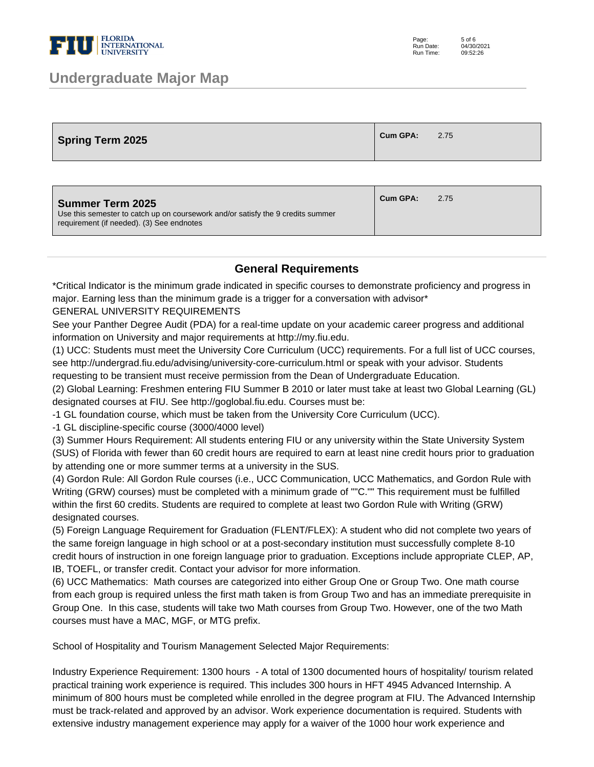

### **Undergraduate Major Map**

| <b>Spring Term 2025</b> | Cum GPA: | 2.75 |
|-------------------------|----------|------|
|-------------------------|----------|------|

| <b>Summer Term 2025</b><br>Use this semester to catch up on coursework and/or satisfy the 9 credits summer<br>requirement (if needed). (3) See endnotes | Cum GPA: | 2.75 |
|---------------------------------------------------------------------------------------------------------------------------------------------------------|----------|------|
|                                                                                                                                                         |          |      |

#### **General Requirements**

\*Critical Indicator is the minimum grade indicated in specific courses to demonstrate proficiency and progress in major. Earning less than the minimum grade is a trigger for a conversation with advisor\*

GENERAL UNIVERSITY REQUIREMENTS

See your Panther Degree Audit (PDA) for a real-time update on your academic career progress and additional information on University and major requirements at http://my.fiu.edu.

(1) UCC: Students must meet the University Core Curriculum (UCC) requirements. For a full list of UCC courses, see http://undergrad.fiu.edu/advising/university-core-curriculum.html or speak with your advisor. Students requesting to be transient must receive permission from the Dean of Undergraduate Education.

(2) Global Learning: Freshmen entering FIU Summer B 2010 or later must take at least two Global Learning (GL) designated courses at FIU. See http://goglobal.fiu.edu. Courses must be:

- 1 GL foundation course, which must be taken from the University Core Curriculum (UCC).

- 1 GL discipline-specific course (3000/4000 level)

(3) Summer Hours Requirement: All students entering FIU or any university within the State University System (SUS) of Florida with fewer than 60 credit hours are required to earn at least nine credit hours prior to graduation by attending one or more summer terms at a university in the SUS.

(4) Gordon Rule: All Gordon Rule courses (i.e., UCC Communication, UCC Mathematics, and Gordon Rule with Writing (GRW) courses) must be completed with a minimum grade of ""C."" This requirement must be fulfilled within the first 60 credits. Students are required to complete at least two Gordon Rule with Writing (GRW) designated courses.

(5) Foreign Language Requirement for Graduation (FLENT/FLEX): A student who did not complete two years of the same foreign language in high school or at a post-secondary institution must successfully complete 8-10 credit hours of instruction in one foreign language prior to graduation. Exceptions include appropriate CLEP, AP, IB, TOEFL, or transfer credit. Contact your advisor for more information.

(6) UCC Mathematics: Math courses are categorized into either Group One or Group Two. One math course from each group is required unless the first math taken is from Group Two and has an immediate prerequisite in Group One. In this case, students will take two Math courses from Group Two. However, one of the two Math courses must have a MAC, MGF, or MTG prefix.

School of Hospitality and Tourism Management Selected Major Requirements:

Industry Experience Requirement: 1300 hours - A total of 1300 documented hours of hospitality/ tourism related practical training work experience is required. This includes 300 hours in HFT 4945 Advanced Internship. A minimum of 800 hours must be completed while enrolled in the degree program at FIU. The Advanced Internship must be track-related and approved by an advisor. Work experience documentation is required. Students with extensive industry management experience may apply for a waiver of the 1000 hour work experience and